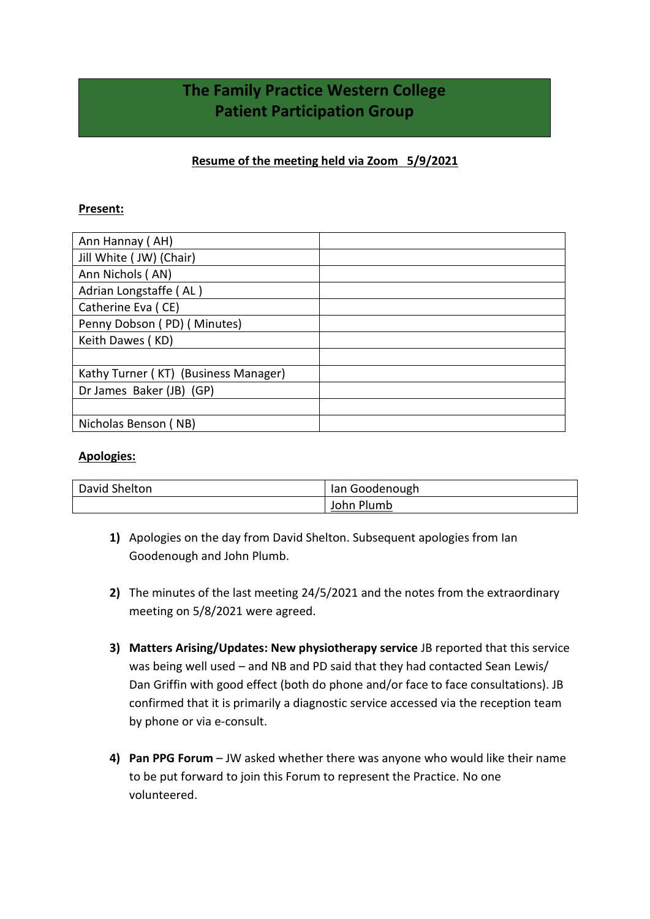# **The Family Practice Western College Patient Participation Group**

## **Resume of the meeting held via Zoom 5/9/2021**

### **Present:**

| Ann Hannay (AH)                      |  |
|--------------------------------------|--|
| Jill White (JW) (Chair)              |  |
| Ann Nichols (AN)                     |  |
| Adrian Longstaffe (AL)               |  |
| Catherine Eva (CE)                   |  |
| Penny Dobson (PD) (Minutes)          |  |
| Keith Dawes (KD)                     |  |
|                                      |  |
| Kathy Turner (KT) (Business Manager) |  |
| Dr James Baker (JB) (GP)             |  |
|                                      |  |
| Nicholas Benson (NB)                 |  |

#### **Apologies:**

| David Shelton | Ian Goodenough |
|---------------|----------------|
|               | John Plumb     |

- **1)** Apologies on the day from David Shelton. Subsequent apologies from Ian Goodenough and John Plumb.
- **2)** The minutes of the last meeting 24/5/2021 and the notes from the extraordinary meeting on 5/8/2021 were agreed.
- **3) Matters Arising/Updates: New physiotherapy service** JB reported that this service was being well used – and NB and PD said that they had contacted Sean Lewis/ Dan Griffin with good effect (both do phone and/or face to face consultations). JB confirmed that it is primarily a diagnostic service accessed via the reception team by phone or via e-consult.
- **4) Pan PPG Forum** JW asked whether there was anyone who would like their name to be put forward to join this Forum to represent the Practice. No one volunteered.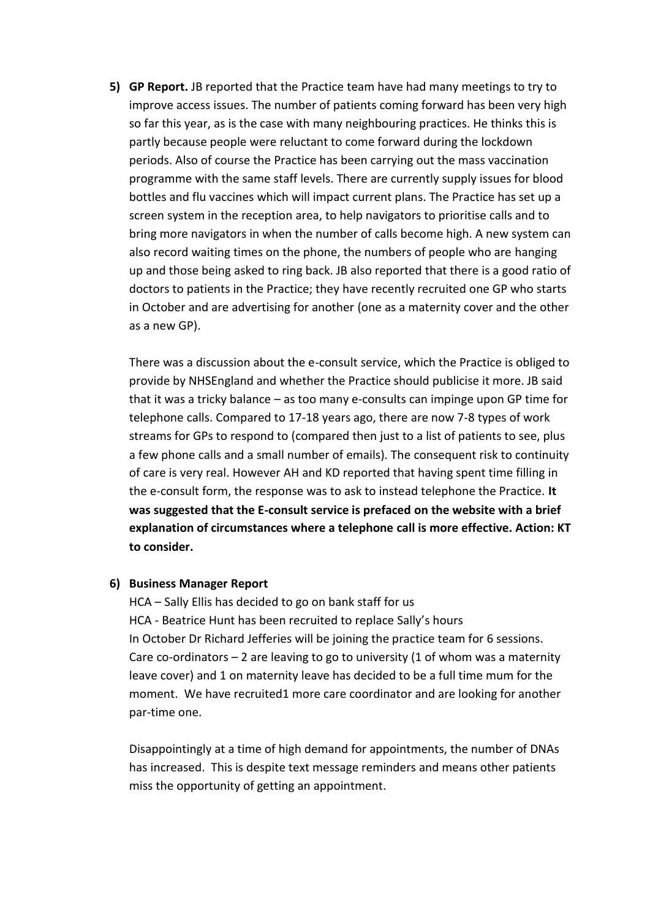**5) GP Report.** JB reported that the Practice team have had many meetings to try to improve access issues. The number of patients coming forward has been very high so far this year, as is the case with many neighbouring practices. He thinks this is partly because people were reluctant to come forward during the lockdown periods. Also of course the Practice has been carrying out the mass vaccination programme with the same staff levels. There are currently supply issues for blood bottles and flu vaccines which will impact current plans. The Practice has set up a screen system in the reception area, to help navigators to prioritise calls and to bring more navigators in when the number of calls become high. A new system can also record waiting times on the phone, the numbers of people who are hanging up and those being asked to ring back. JB also reported that there is a good ratio of doctors to patients in the Practice; they have recently recruited one GP who starts in October and are advertising for another (one as a maternity cover and the other as a new GP).

There was a discussion about the e-consult service, which the Practice is obliged to provide by NHSEngland and whether the Practice should publicise it more. JB said that it was a tricky balance – as too many e-consults can impinge upon GP time for telephone calls. Compared to 17-18 years ago, there are now 7-8 types of work streams for GPs to respond to (compared then just to a list of patients to see, plus a few phone calls and a small number of emails). The consequent risk to continuity of care is very real. However AH and KD reported that having spent time filling in the e-consult form, the response was to ask to instead telephone the Practice. **It was suggested that the E-consult service is prefaced on the website with a brief explanation of circumstances where a telephone call is more effective. Action: KT to consider.**

#### **6) Business Manager Report**

HCA – Sally Ellis has decided to go on bank staff for us HCA - Beatrice Hunt has been recruited to replace Sally's hours In October Dr Richard Jefferies will be joining the practice team for 6 sessions. Care co-ordinators  $-2$  are leaving to go to university (1 of whom was a maternity leave cover) and 1 on maternity leave has decided to be a full time mum for the moment. We have recruited1 more care coordinator and are looking for another par-time one.

Disappointingly at a time of high demand for appointments, the number of DNAs has increased. This is despite text message reminders and means other patients miss the opportunity of getting an appointment.